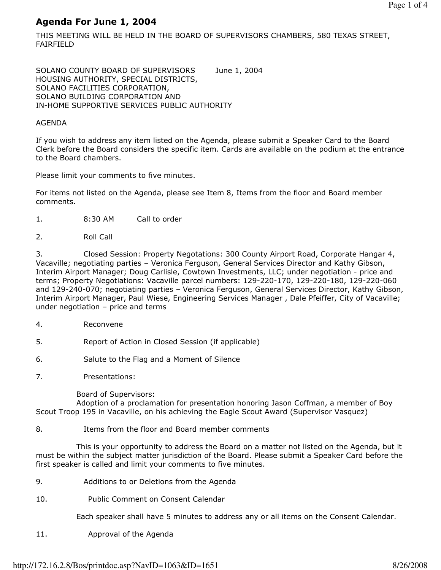# Agenda For June 1, 2004

THIS MEETING WILL BE HELD IN THE BOARD OF SUPERVISORS CHAMBERS, 580 TEXAS STREET, FAIRFIELD

SOLANO COUNTY BOARD OF SUPERVISORS June 1, 2004 HOUSING AUTHORITY, SPECIAL DISTRICTS, SOLANO FACILITIES CORPORATION, SOLANO BUILDING CORPORATION AND IN-HOME SUPPORTIVE SERVICES PUBLIC AUTHORITY

#### AGENDA

If you wish to address any item listed on the Agenda, please submit a Speaker Card to the Board Clerk before the Board considers the specific item. Cards are available on the podium at the entrance to the Board chambers.

Please limit your comments to five minutes.

For items not listed on the Agenda, please see Item 8, Items from the floor and Board member comments.

- 1. 8:30 AM Call to order
- 2. Roll Call

3. Closed Session: Property Negotations: 300 County Airport Road, Corporate Hangar 4, Vacaville; negotiating parties – Veronica Ferguson, General Services Director and Kathy Gibson, Interim Airport Manager; Doug Carlisle, Cowtown Investments, LLC; under negotiation - price and terms; Property Negotiations: Vacaville parcel numbers: 129-220-170, 129-220-180, 129-220-060 and 129-240-070; negotiating parties – Veronica Ferguson, General Services Director, Kathy Gibson, Interim Airport Manager, Paul Wiese, Engineering Services Manager , Dale Pfeiffer, City of Vacaville; under negotiation – price and terms

- 4. Reconvene
- 5. Report of Action in Closed Session (if applicable)
- 6. Salute to the Flag and a Moment of Silence
- 7. Presentations:

Board of Supervisors:

 Adoption of a proclamation for presentation honoring Jason Coffman, a member of Boy Scout Troop 195 in Vacaville, on his achieving the Eagle Scout Award (Supervisor Vasquez)

8. Items from the floor and Board member comments

 This is your opportunity to address the Board on a matter not listed on the Agenda, but it must be within the subject matter jurisdiction of the Board. Please submit a Speaker Card before the first speaker is called and limit your comments to five minutes.

- 9. Additions to or Deletions from the Agenda
- 10. Public Comment on Consent Calendar

Each speaker shall have 5 minutes to address any or all items on the Consent Calendar.

11. Approval of the Agenda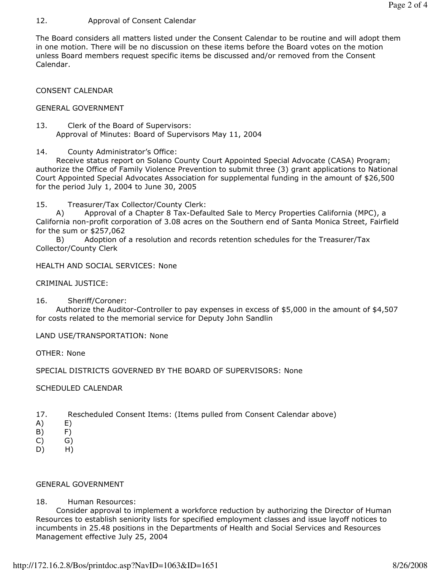### 12. Approval of Consent Calendar

The Board considers all matters listed under the Consent Calendar to be routine and will adopt them in one motion. There will be no discussion on these items before the Board votes on the motion unless Board members request specific items be discussed and/or removed from the Consent Calendar.

#### CONSENT CALENDAR

#### GENERAL GOVERNMENT

13. Clerk of the Board of Supervisors: Approval of Minutes: Board of Supervisors May 11, 2004

14. County Administrator's Office:

 Receive status report on Solano County Court Appointed Special Advocate (CASA) Program; authorize the Office of Family Violence Prevention to submit three (3) grant applications to National Court Appointed Special Advocates Association for supplemental funding in the amount of \$26,500 for the period July 1, 2004 to June 30, 2005

15. Treasurer/Tax Collector/County Clerk:

 A) Approval of a Chapter 8 Tax-Defaulted Sale to Mercy Properties California (MPC), a California non-profit corporation of 3.08 acres on the Southern end of Santa Monica Street, Fairfield for the sum or \$257,062

 B) Adoption of a resolution and records retention schedules for the Treasurer/Tax Collector/County Clerk

```
HEALTH AND SOCIAL SERVICES: None
```
CRIMINAL JUSTICE:

16. Sheriff/Coroner:

 Authorize the Auditor-Controller to pay expenses in excess of \$5,000 in the amount of \$4,507 for costs related to the memorial service for Deputy John Sandlin

LAND USE/TRANSPORTATION: None

OTHER: None

SPECIAL DISTRICTS GOVERNED BY THE BOARD OF SUPERVISORS: None

SCHEDULED CALENDAR

- 17. Rescheduled Consent Items: (Items pulled from Consent Calendar above)
- A) E)
- B) F)
- $(C)$   $G)$
- D) H)

#### GENERAL GOVERNMENT

#### 18. Human Resources:

 Consider approval to implement a workforce reduction by authorizing the Director of Human Resources to establish seniority lists for specified employment classes and issue layoff notices to incumbents in 25.48 positions in the Departments of Health and Social Services and Resources Management effective July 25, 2004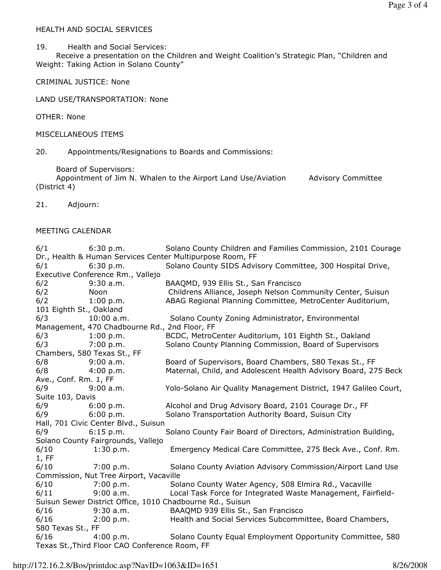### HEALTH AND SOCIAL SERVICES

19. Health and Social Services:

 Receive a presentation on the Children and Weight Coalition's Strategic Plan, "Children and Weight: Taking Action in Solano County"

CRIMINAL JUSTICE: None

LAND USE/TRANSPORTATION: None

OTHER: None

MISCELLANEOUS ITEMS

20. Appointments/Resignations to Boards and Commissions:

Board of Supervisors:

Appointment of Jim N. Whalen to the Airport Land Use/Aviation Advisory Committee (District 4)

21. Adjourn:

## MEETING CALENDAR

| 6/1                                                       | 6:30 p.m.    | Solano County Children and Families Commission, 2101 Courage     |  |  |
|-----------------------------------------------------------|--------------|------------------------------------------------------------------|--|--|
|                                                           |              | Dr., Health & Human Services Center Multipurpose Room, FF        |  |  |
| 6/1                                                       | 6:30 p.m.    | Solano County SIDS Advisory Committee, 300 Hospital Drive,       |  |  |
| Executive Conference Rm., Vallejo                         |              |                                                                  |  |  |
| 6/2                                                       | $9:30$ a.m.  | BAAQMD, 939 Ellis St., San Francisco                             |  |  |
| 6/2                                                       | Noon         | Childrens Alliance, Joseph Nelson Community Center, Suisun       |  |  |
| 6/2                                                       | 1:00 p.m.    | ABAG Regional Planning Committee, MetroCenter Auditorium,        |  |  |
| 101 Eighth St., Oakland                                   |              |                                                                  |  |  |
| 6/3                                                       | $10:00$ a.m. | Solano County Zoning Administrator, Environmental                |  |  |
| Management, 470 Chadbourne Rd., 2nd Floor, FF             |              |                                                                  |  |  |
| 6/3                                                       | 1:00 p.m.    | BCDC, MetroCenter Auditorium, 101 Eighth St., Oakland            |  |  |
| 6/3                                                       | 7:00 p.m.    | Solano County Planning Commission, Board of Supervisors          |  |  |
| Chambers, 580 Texas St., FF                               |              |                                                                  |  |  |
| 6/8                                                       | 9:00 a.m.    | Board of Supervisors, Board Chambers, 580 Texas St., FF          |  |  |
| 6/8                                                       | 4:00 p.m.    | Maternal, Child, and Adolescent Health Advisory Board, 275 Beck  |  |  |
| Ave., Conf. Rm. 1, FF                                     |              |                                                                  |  |  |
| 6/9                                                       | 9:00 a.m.    | Yolo-Solano Air Quality Management District, 1947 Galileo Court, |  |  |
| Suite 103, Davis                                          |              |                                                                  |  |  |
| 6/9                                                       | 6:00 p.m.    | Alcohol and Drug Advisory Board, 2101 Courage Dr., FF            |  |  |
| 6/9                                                       | 6:00 p.m.    | Solano Transportation Authority Board, Suisun City               |  |  |
| Hall, 701 Civic Center Blvd., Suisun                      |              |                                                                  |  |  |
| 6/9                                                       | 6:15 p.m.    | Solano County Fair Board of Directors, Administration Building,  |  |  |
| Solano County Fairgrounds, Vallejo                        |              |                                                                  |  |  |
| 6/10                                                      | 1:30 p.m.    | Emergency Medical Care Committee, 275 Beck Ave., Conf. Rm.       |  |  |
| 1, FF                                                     |              |                                                                  |  |  |
| 6/10                                                      | 7:00 p.m.    | Solano County Aviation Advisory Commission/Airport Land Use      |  |  |
| Commission, Nut Tree Airport, Vacaville                   |              |                                                                  |  |  |
| 6/10                                                      | 7:00 p.m.    | Solano County Water Agency, 508 Elmira Rd., Vacaville            |  |  |
| 6/11                                                      | 9:00 a.m.    | Local Task Force for Integrated Waste Management, Fairfield-     |  |  |
| Suisun Sewer District Office, 1010 Chadbourne Rd., Suisun |              |                                                                  |  |  |
| 6/16                                                      | $9:30$ a.m.  | BAAQMD 939 Ellis St., San Francisco                              |  |  |
| 6/16                                                      | 2:00 p.m.    | Health and Social Services Subcommittee, Board Chambers,         |  |  |
| 580 Texas St., FF                                         |              |                                                                  |  |  |
| 6/16                                                      | 4:00 p.m.    | Solano County Equal Employment Opportunity Committee, 580        |  |  |
| Texas St., Third Floor CAO Conference Room, FF            |              |                                                                  |  |  |